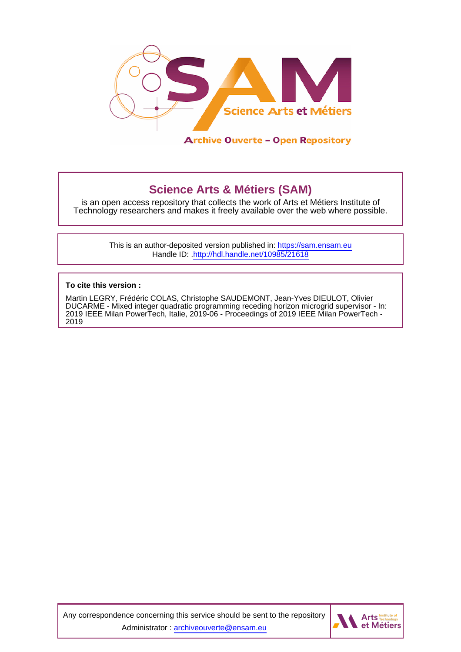

# **Science Arts & Métiers (SAM)**

is an open access repository that collects the work of Arts et Métiers Institute of Technology researchers and makes it freely available over the web where possible.

> This is an author-deposited version published in:<https://sam.ensam.eu> Handle ID: [.http://hdl.handle.net/10985/21618](http://hdl.handle.net/10985/21618)

**To cite this version :**

Martin LEGRY, Frédéric COLAS, Christophe SAUDEMONT, Jean-Yves DIEULOT, Olivier DUCARME - Mixed integer quadratic programming receding horizon microgrid supervisor - In: 2019 IEEE Milan PowerTech, Italie, 2019-06 - Proceedings of 2019 IEEE Milan PowerTech - 2019

Any correspondence concerning this service should be sent to the repository Administrator : [archiveouverte@ensam.eu](mailto:archiveouverte@ensam.eu)

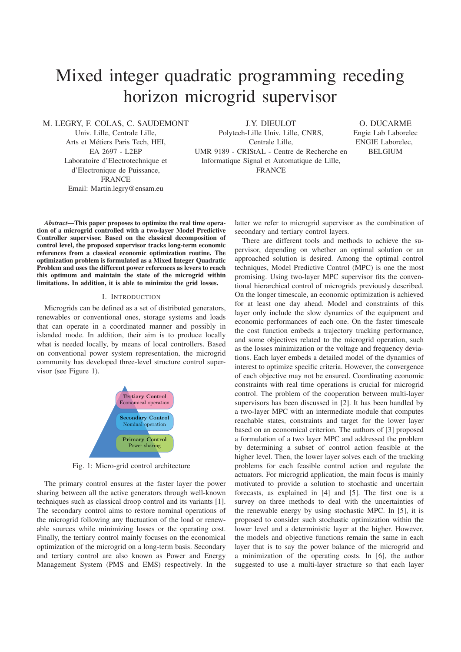# Mixed integer quadratic programming receding horizon microgrid supervisor

M. LEGRY, F. COLAS, C. SAUDEMONT

Univ. Lille, Centrale Lille, Arts et Métiers Paris Tech, HEI, EA 2697 - L2EP Laboratoire d'Electrotechnique et d'Electronique de Puissance, FRANCE Email: Martin.legry@ensam.eu

J.Y. DIEULOT

Polytech-Lille Univ. Lille, CNRS, Centrale Lille, UMR 9189 - CRIStAL - Centre de Recherche en Informatique Signal et Automatique de Lille, FRANCE

O. DUCARME Engie Lab Laborelec ENGIE Laborelec, BELGIUM

*Abstract*—This paper proposes to optimize the real time operation of a microgrid controlled with a two-layer Model Predictive Controller supervisor. Based on the classical decomposition of control level, the proposed supervisor tracks long-term economic references from a classical economic optimization routine. The optimization problem is formulated as a Mixed Integer Quadratic Problem and uses the different power references as levers to reach this optimum and maintain the state of the microgrid within limitations. In addition, it is able to minimize the grid losses.

#### I. INTRODUCTION

Microgrids can be defined as a set of distributed generators, renewables or conventional ones, storage systems and loads that can operate in a coordinated manner and possibly in islanded mode. In addition, their aim is to produce locally what is needed locally, by means of local controllers. Based on conventional power system representation, the microgrid community has developed three-level structure control supervisor (see Figure 1).



Fig. 1: Micro-grid control architecture

The primary control ensures at the faster layer the power sharing between all the active generators through well-known techniques such as classical droop control and its variants [1]. The secondary control aims to restore nominal operations of the microgrid following any fluctuation of the load or renewable sources while minimizing losses or the operating cost. Finally, the tertiary control mainly focuses on the economical optimization of the microgrid on a long-term basis. Secondary and tertiary control are also known as Power and Energy Management System (PMS and EMS) respectively. In the latter we refer to microgrid supervisor as the combination of secondary and tertiary control layers.

There are different tools and methods to achieve the supervisor, depending on whether an optimal solution or an approached solution is desired. Among the optimal control techniques, Model Predictive Control (MPC) is one the most promising. Using two-layer MPC supervisor fits the conventional hierarchical control of microgrids previously described. On the longer timescale, an economic optimization is achieved for at least one day ahead. Model and constraints of this layer only include the slow dynamics of the equipment and economic performances of each one. On the faster timescale the cost function embeds a trajectory tracking performance, and some objectives related to the microgrid operation, such as the losses minimization or the voltage and frequency deviations. Each layer embeds a detailed model of the dynamics of interest to optimize specific criteria. However, the convergence of each objective may not be ensured. Coordinating economic constraints with real time operations is crucial for microgrid control. The problem of the cooperation between multi-layer supervisors has been discussed in [2]. It has been handled by a two-layer MPC with an intermediate module that computes reachable states, constraints and target for the lower layer based on an economical criterion. The authors of [3] proposed a formulation of a two layer MPC and addressed the problem by determining a subset of control action feasible at the higher level. Then, the lower layer solves each of the tracking problems for each feasible control action and regulate the actuators. For microgrid application, the main focus is mainly motivated to provide a solution to stochastic and uncertain forecasts, as explained in [4] and [5]. The first one is a survey on three methods to deal with the uncertainties of the renewable energy by using stochastic MPC. In [5], it is proposed to consider such stochastic optimization within the lower level and a deterministic layer at the higher. However, the models and objective functions remain the same in each layer that is to say the power balance of the microgrid and a minimization of the operating costs. In [6], the author suggested to use a multi-layer structure so that each layer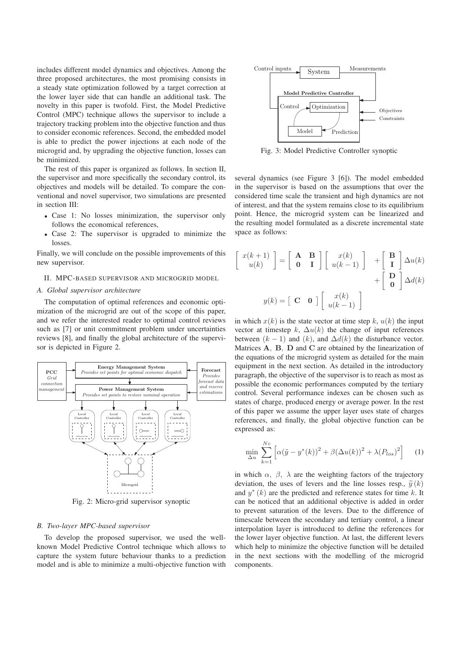includes different model dynamics and objectives. Among the three proposed architectures, the most promising consists in a steady state optimization followed by a target correction at the lower layer side that can handle an additional task. The novelty in this paper is twofold. First, the Model Predictive Control (MPC) technique allows the supervisor to include a trajectory tracking problem into the objective function and thus to consider economic references. Second, the embedded model is able to predict the power injections at each node of the microgrid and, by upgrading the objective function, losses can be minimized.

The rest of this paper is organized as follows. In section II, the supervisor and more specifically the secondary control, its objectives and models will be detailed. To compare the conventional and novel supervisor, two simulations are presented in section III:

- Case 1: No losses minimization, the supervisor only follows the economical references,
- Case 2: The supervisor is upgraded to minimize the losses.

Finally, we will conclude on the possible improvements of this new supervisor.

#### II. MPC-BASED SUPERVISOR AND MICROGRID MODEL

#### *A. Global supervisor architecture*

The computation of optimal references and economic optimization of the microgrid are out of the scope of this paper, and we refer the interested reader to optimal control reviews such as [7] or unit commitment problem under uncertainties reviews [8], and finally the global architecture of the supervisor is depicted in Figure 2.



Fig. 2: Micro-grid supervisor synoptic

#### *B. Two-layer MPC-based supervisor*

To develop the proposed supervisor, we used the wellknown Model Predictive Control technique which allows to capture the system future behaviour thanks to a prediction model and is able to minimize a multi-objective function with



Fig. 3: Model Predictive Controller synoptic

several dynamics (see Figure 3 [6]). The model embedded in the supervisor is based on the assumptions that over the considered time scale the transient and high dynamics are not of interest, and that the system remains close to its equilibrium point. Hence, the microgrid system can be linearized and the resulting model formulated as a discrete incremental state space as follows:

$$
\begin{bmatrix} x(k+1) \\ u(k) \end{bmatrix} = \begin{bmatrix} A & B \\ 0 & I \end{bmatrix} \begin{bmatrix} x(k) \\ u(k-1) \end{bmatrix} + \begin{bmatrix} B \\ I \end{bmatrix} \Delta u(k) + \begin{bmatrix} D \\ 0 \end{bmatrix} \Delta u(k)
$$

$$
y(k) = \begin{bmatrix} C & 0 \end{bmatrix} \begin{bmatrix} x(k) \\ u(k-1) \end{bmatrix}
$$

 $\sqrt{2}$ 

in which  $x(k)$  is the state vector at time step k,  $u(k)$  the input vector at timestep k,  $\Delta u(k)$  the change of input references between  $(k - 1)$  and  $(k)$ , and  $\Delta d(k)$  the disturbance vector. Matrices **A**, **B**, **D** and **C** are obtained by the linearization of the equations of the microgrid system as detailed for the main equipment in the next section. As detailed in the introductory paragraph, the objective of the supervisor is to reach as most as possible the economic performances computed by the tertiary control. Several performance indexes can be chosen such as states of charge, produced energy or average power. In the rest of this paper we assume the upper layer uses state of charges references, and finally, the global objective function can be expressed as:

$$
\min_{\Delta u} \sum_{k=1}^{Nc} \left[ \alpha (\tilde{y} - y^*(k))^2 + \beta (\Delta u(k))^2 + \lambda (P_{los})^2 \right] \tag{1}
$$

in which  $\alpha$ ,  $\beta$ ,  $\lambda$  are the weighting factors of the trajectory deviation, the uses of levers and the line losses resp.,  $\tilde{y}(k)$ and  $y^*(k)$  are the predicted and reference states for time k. It can be noticed that an additional objective is added in order to prevent saturation of the levers. Due to the difference of timescale between the secondary and tertiary control, a linear interpolation layer is introduced to define the references for the lower layer objective function. At last, the different levers which help to minimize the objective function will be detailed in the next sections with the modelling of the microgrid components.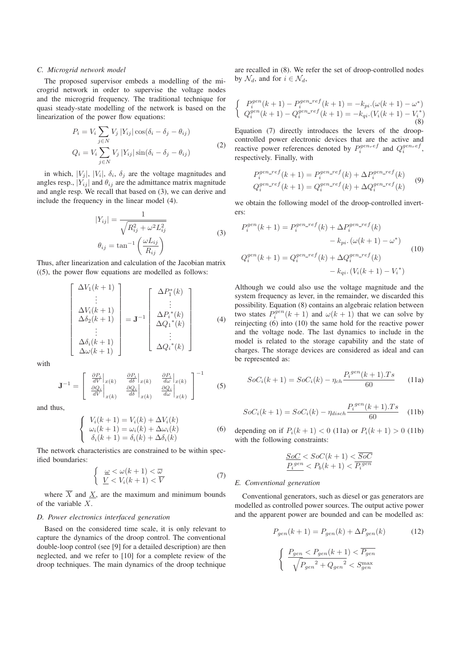# *C. Microgrid network model*

The proposed supervisor embeds a modelling of the microgrid network in order to supervise the voltage nodes and the microgrid frequency. The traditional technique for quasi steady-state modelling of the network is based on the linearization of the power flow equations:

$$
P_i = V_i \sum_{j \in N} V_j |Y_{ij}| \cos(\delta_i - \delta_j - \theta_{ij})
$$
  
\n
$$
Q_i = V_i \sum_{j \in N} V_j |Y_{ij}| \sin(\delta_i - \delta_j - \theta_{ij})
$$
\n(2)

in which,  $|V_i|$ ,  $|V_i|$ ,  $\delta_i$ ,  $\delta_j$  are the voltage magnitudes and angles resp.,  $|Y_{ij}|$  and  $\theta_{ij}$  are the admittance matrix magnitude and angle resp. We recall that based on (3), we can derive and include the frequency in the linear model (4).

$$
|Y_{ij}| = \frac{1}{\sqrt{R_{ij}^2 + \omega^2 L_{ij}^2}}
$$
  

$$
\theta_{ij} = \tan^{-1} \left(\frac{\omega L_{ij}}{R_{ij}}\right)
$$
 (3)

Thus, after linearization and calculation of the Jacobian matrix  $((5)$ , the power flow equations are modelled as follows:

$$
\begin{bmatrix}\n\Delta V_1(k+1) \\
\vdots \\
\Delta V_i(k+1) \\
\Delta \delta_2(k+1) \\
\vdots \\
\Delta \delta_i(k+1) \\
\Delta \omega(k+1)\n\end{bmatrix} = \mathbf{J}^{-1} \begin{bmatrix}\n\Delta P_1^*(k) \\
\vdots \\
\Delta P_i^*(k) \\
\Delta Q_1^*(k) \\
\vdots \\
\Delta Q_i^*(k)\n\end{bmatrix}
$$
\n(4)

with

$$
\mathbf{J}^{-1} = \begin{bmatrix} \frac{\partial P_i}{dV} \Big|_{x(k)} & \frac{\partial P_i}{d\delta} \Big|_{x(k)} & \frac{\partial P_i}{d\omega} \Big|_{x(k)} \\ \frac{\partial Q_i}{dV} \Big|_{x(k)} & \frac{\partial Q_i}{d\delta} \Big|_{x(k)} & \frac{\partial Q_i}{d\omega} \Big|_{x(k)} \end{bmatrix}^{-1}
$$
(5)

and thus,

$$
\begin{cases}\nV_i(k+1) = V_i(k) + \Delta V_i(k) \\
\omega_i(k+1) = \omega_i(k) + \Delta \omega_i(k) \\
\delta_i(k+1) = \delta_i(k) + \Delta \delta_i(k)\n\end{cases}
$$
\n(6)

The network characteristics are constrained to be within specified boundaries:

$$
\begin{cases} \underline{\omega} < \omega(k+1) < \overline{\omega} \\ \underline{V} < V_i(k+1) < \overline{V} \end{cases} \tag{7}
$$

where  $\overline{X}$  and X, are the maximum and minimum bounds of the variable X.

# *D. Power electronics interfaced generation*

Based on the considered time scale, it is only relevant to capture the dynamics of the droop control. The conventional double-loop control (see [9] for a detailed description) are then neglected, and we refer to [10] for a complete review of the droop techniques. The main dynamics of the droop technique are recalled in (8). We refer the set of droop-controlled nodes by  $\mathcal{N}_d$ , and for  $i \in \mathcal{N}_d$ ,

$$
\begin{cases}\nP_i^{gen}(k+1) - P_i^{gen\_ref}(k+1) = -k_{pi} \cdot (\omega(k+1) - \omega^*) \\
Q_i^{gen}(k+1) - Q_i^{gen\_ref}(k+1) = -k_{qi} \cdot (V_i(k+1) - V_i^*)\n\end{cases} \tag{8}
$$

Equation (7) directly introduces the levers of the droopcontrolled power electronic devices that are the active and reactive power references denoted by  $P_i^{gen_ref}$  and  $Q_i^{gen_ref}$ , respectively. Finally, with

$$
P_i^{gen\_ref}(k+1) = P_i^{gen\_ref}(k) + \Delta P_i^{gen\_ref}(k)
$$
  
\n
$$
Q_i^{gen\_ref}(k+1) = Q_i^{gen\_ref}(k) + \Delta Q_i^{gen\_ref}(k)
$$
 (9)

we obtain the following model of the droop-controlled inverters:

$$
P_i^{gen}(k+1) = P_i^{gen\_ref}(k) + \Delta P_i^{gen\_ref}(k)
$$
  
\n
$$
- k_{pi} \cdot (\omega(k+1) - \omega^*)
$$
  
\n
$$
Q_i^{gen}(k+1) = Q_i^{gen\_ref}(k) + \Delta Q_i^{gen\_ref}(k)
$$
  
\n
$$
- k_{qi} \cdot (V_i(k+1) - V_i^*)
$$
\n(10)

Although we could also use the voltage magnitude and the system frequency as lever, in the remainder, we discarded this possibility. Equation (8) contains an algebraic relation between two states  $P_i^{\hat{g}en}(k+1)$  and  $\omega(k+1)$  that we can solve by reinjecting (6) into (10) the same hold for the reactive power and the voltage node. The last dynamics to include in the model is related to the storage capability and the state of charges. The storage devices are considered as ideal and can be represented as:

$$
SoC_i(k+1) = SoC_i(k) - \eta_{ch} \frac{P_i^{gen}(k+1).Ts}{60}
$$
 (11a)

$$
SoC_i(k+1) = SoC_i(k) - \eta_{disch} \frac{P_i^{gen}(k+1).Ts}{60} \quad (11b)
$$

depending on if  $P_i(k + 1) < 0$  (11a) or  $P_i(k + 1) > 0$  (11b) with the following constraints:

$$
\frac{SoC}{P_i^{gen}} < SoC(k+1) < \overline{SoC}
$$
  

$$
P_i^{gen} < P_b(k+1) < \overline{P_i^{gen}}
$$

#### *E. Conventional generation*

Conventional generators, such as diesel or gas generators are modelled as controlled power sources. The output active power and the apparent power are bounded and can be modelled as:

$$
P_{gen}(k+1) = P_{gen}(k) + \Delta P_{gen}(k)
$$
\n
$$
\left\{\n\begin{array}{l}\n\frac{P_{gen} < P_{gen}(k+1) < \overline{P_{gen}}}{\sqrt{P_{gen}^2 + Q_{gen}^2}} < S_{gen}^{\text{max}}\n\end{array}\n\right.
$$
\n(12)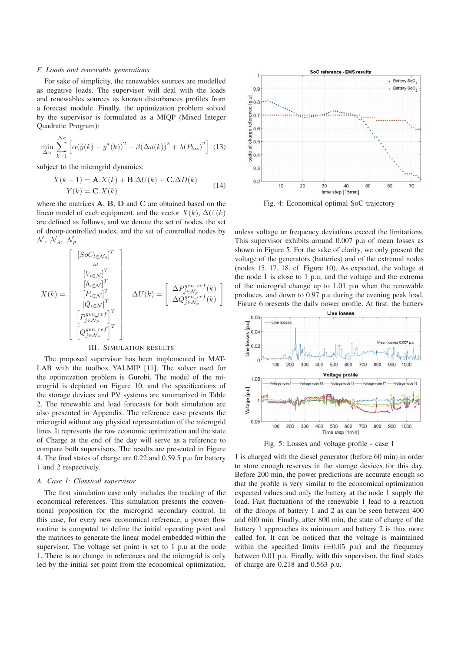#### *F. Loads and renewable generations*

For sake of simplicity, the renewables sources are modelled as negative loads. The supervisor will deal with the loads and renewables sources as known disturbances profiles from a forecast module. Finally, the optimization problem solved by the supervisor is formulated as a MIQP (Mixed Integer Quadratic Program):

$$
\min_{\Delta u} \sum_{k=1}^{Nc} \left[ \alpha(\widetilde{y}(k) - y^*(k))^2 + \beta(\Delta u(k))^2 + \lambda(P_{los})^2 \right] \tag{13}
$$

subject to the microgrid dynamics:

$$
X(k+1) = \mathbf{A}.X(k) + \mathbf{B}.\Delta U(k) + \mathbf{C}.\Delta D(k)
$$
  

$$
Y(k) = \mathbf{C}.X(k)
$$
 (14)

where the matrices **A**, **B**, **D** and **C** are obtained based on the linear model of each equipment, and the vector  $X(k)$ ,  $\Delta U(k)$ are defined as follows, and we denote the set of nodes, the set of droop-controlled nodes, and the set of controlled nodes by  $\mathcal{N}, \ \mathcal{N}_d, \ \mathcal{N}_p$ 

$$
X(k) = \begin{bmatrix} \begin{bmatrix} [Soc_{l \in \mathcal{N}_d}]^T \\ \omega \\ \begin{bmatrix} V_{i \in \mathcal{N}} \end{bmatrix}^T \\ \begin{bmatrix} \delta_{i \in \mathcal{N}} \end{bmatrix}^T \\ \begin{bmatrix} P_{i \in \mathcal{N}} \end{bmatrix}^T \\ \begin{bmatrix} Q_{i \in \mathcal{N}} \end{bmatrix}^T \\ \begin{bmatrix} Q_{i \in \mathcal{N}} \end{bmatrix}^T \\ \begin{bmatrix} P_{i \in \mathcal{N}} \end{bmatrix}^T \\ \begin{bmatrix} P_{j \in \mathcal{N}_p}^{gen\_ref} \end{bmatrix}^T \\ \begin{bmatrix} Q_{j \in \mathcal{N}_p}^{gen\_ref} \end{bmatrix}^T \\ \begin{bmatrix} Q_{j \in \mathcal{N}_p}^{gen\_ref} \end{bmatrix}^T \end{bmatrix}
$$

# III. SIMULATION RESULTS

The proposed supervisor has been implemented in MAT-LAB with the toolbox YALMIP [11]. The solver used for the optimization problem is Gurobi. The model of the microgrid is depicted on Figure 10, and the specifications of the storage devices and PV systems are summarized in Table 2. The renewable and load forecasts for both simulation are also presented in Appendix. The reference case presents the microgrid without any physical representation of the microgrid lines. It represents the raw economic optimization and the state of Charge at the end of the day will serve as a reference to compare both supervisors. The results are presented in Figure 4. The final states of charge are 0.22 and 0.59.5 p.u for battery 1 and 2 respectively.

# *A. Case 1: Classical supervisor*

The first simulation case only includes the tracking of the economical references. This simulation presents the conventional proposition for the microgrid secondary control. In this case, for every new economical reference, a power flow routine is computed to define the initial operating point and the matrices to generate the linear model embedded within the supervisor. The voltage set point is set to 1 p.u at the node 1. There is no change in references and the microgrid is only led by the initial set point from the economical optimization,



Fig. 4: Economical optimal SoC trajectory

unless voltage or frequency deviations exceed the limitations. This supervisor exhibits around 0.007 p.u of mean losses as shown in Figure 5. For the sake of clarity, we only present the voltage of the generators (batteries) and of the extremal nodes (nodes 15, 17, 18, cf. Figure 10). As expected, the voltage at the node 1 is close to 1 p.u, and the voltage and the extrema of the microgrid change up to 1.01 p.u when the renewable produces, and down to 0.97 p.u during the evening peak load. Figure 6 presents the daily power profile. At first, the battery



Fig. 5: Losses and voltage profile - case 1

1 is charged with the diesel generator (before 60 min) in order to store enough reserves in the storage devices for this day. Before 200 min, the power predictions are accurate enough so that the profile is very similar to the economical optimization expected values and only the battery at the node 1 supply the load. Fast fluctuations of the renewable 1 lead to a reaction of the droops of battery 1 and 2 as can be seen between 400 and 600 min. Finally, after 800 min, the state of charge of the battery 1 approaches its minimum and battery 2 is thus more called for. It can be noticed that the voltage is maintained within the specified limits  $(\pm 0.05 \text{ p.u})$  and the frequency between 0.01 p.u. Finally, with this supervisor, the final states of charge are 0.218 and 0.563 p.u.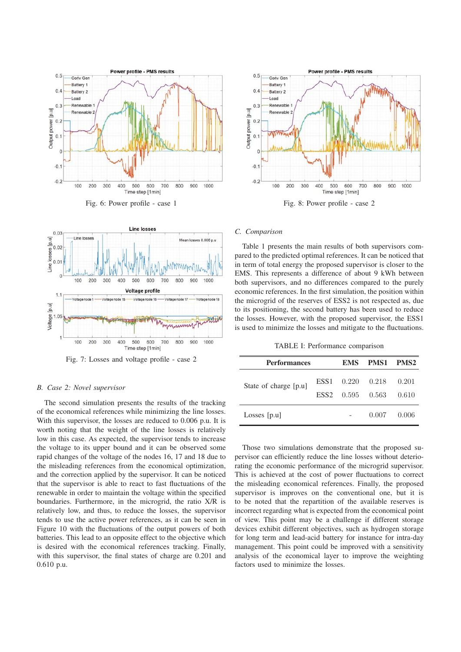





Fig. 7: Losses and voltage profile - case 2

# *B. Case 2: Novel supervisor*

The second simulation presents the results of the tracking of the economical references while minimizing the line losses. With this supervisor, the losses are reduced to 0.006 p.u. It is worth noting that the weight of the line losses is relatively low in this case. As expected, the supervisor tends to increase the voltage to its upper bound and it can be observed some rapid changes of the voltage of the nodes 16, 17 and 18 due to the misleading references from the economical optimization, and the correction applied by the supervisor. It can be noticed that the supervisor is able to react to fast fluctuations of the renewable in order to maintain the voltage within the specified boundaries. Furthermore, in the microgrid, the ratio X/R is relatively low, and thus, to reduce the losses, the supervisor tends to use the active power references, as it can be seen in Figure 10 with the fluctuations of the output powers of both batteries. This lead to an opposite effect to the objective which is desired with the economical references tracking. Finally, with this supervisor, the final states of charge are 0.201 and 0.610 p.u.



Fig. 8: Power profile - case 2

# *C. Comparison*

Table 1 presents the main results of both supervisors compared to the predicted optimal references. It can be noticed that in term of total energy the proposed supervisor is closer to the EMS. This represents a difference of about 9 kWh between both supervisors, and no differences compared to the purely economic references. In the first simulation, the position within the microgrid of the reserves of ESS2 is not respected as, due to its positioning, the second battery has been used to reduce the losses. However, with the proposed supervisor, the ESS1 is used to minimize the losses and mitigate to the fluctuations.

TABLE I: Performance comparison

| <b>Performances</b>   |                  |                                     | EMS PMS1 PMS2 |                |
|-----------------------|------------------|-------------------------------------|---------------|----------------|
| State of charge [p.u] | ESS <sub>2</sub> | ESS1 0.220 0.218<br>$0.595$ $0.563$ |               | 0.201<br>0.610 |
| Losses $[p.u]$        |                  |                                     | 0.007         | 0.006          |
|                       |                  |                                     |               |                |

Those two simulations demonstrate that the proposed supervisor can efficiently reduce the line losses without deteriorating the economic performance of the microgrid supervisor. This is achieved at the cost of power fluctuations to correct the misleading economical references. Finally, the proposed supervisor is improves on the conventional one, but it is to be noted that the repartition of the available reserves is incorrect regarding what is expected from the economical point of view. This point may be a challenge if different storage devices exhibit different objectives, such as hydrogen storage for long term and lead-acid battery for instance for intra-day management. This point could be improved with a sensitivity analysis of the economical layer to improve the weighting factors used to minimize the losses.